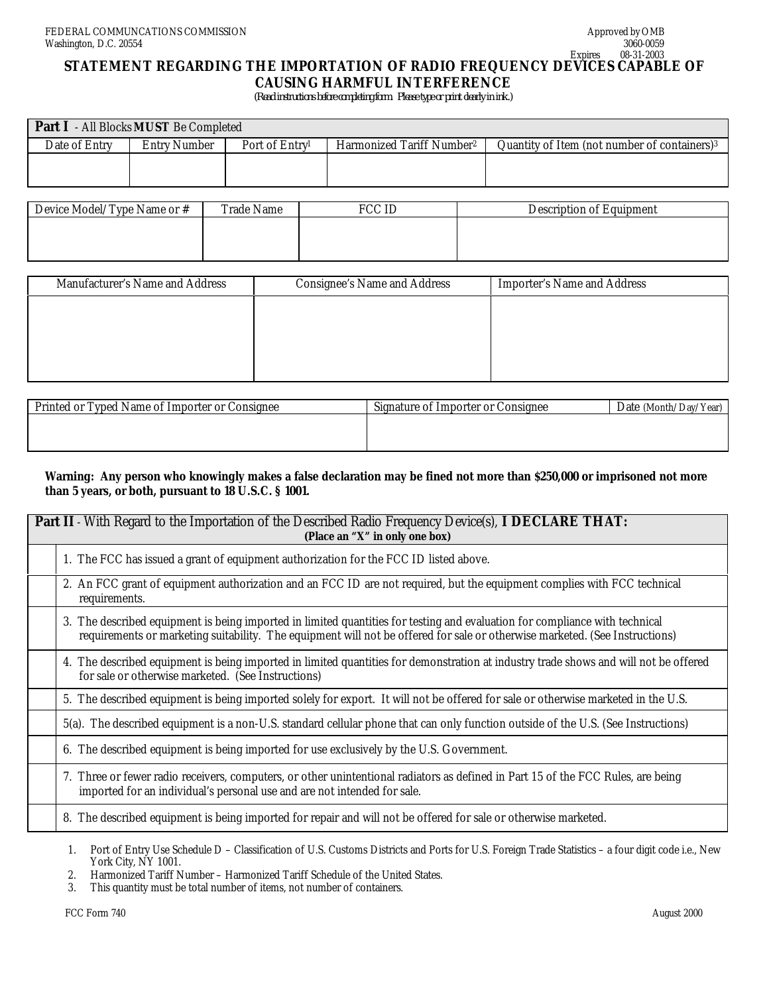# **STATEMENT REGARDING THE IMPORTATION OF RADIO FREQUENCY DEVICES CAPABLE OF CAUSING HARMFUL INTERFERENCE**

 *(Read instructions before completing form. Please type or print clearly in ink.)*

| <b>Part I</b> - All Blocks <b>MUST</b> Be Completed |              |                            |                                       |                                                 |  |  |
|-----------------------------------------------------|--------------|----------------------------|---------------------------------------|-------------------------------------------------|--|--|
| Date of Entry                                       | Entry Number | Port of Entry <sup>1</sup> | Harmonized Tariff Number <sup>2</sup> | Quantity of Item (not number of containers) $3$ |  |  |
|                                                     |              |                            |                                       |                                                 |  |  |

| Device Model/Type Name or # | <b>Trade Name</b> | Description of Equipment |
|-----------------------------|-------------------|--------------------------|
|                             |                   |                          |
|                             |                   |                          |
|                             |                   |                          |

| Manufacturer's Name and Address | Consignee's Name and Address | Importer's Name and Address |
|---------------------------------|------------------------------|-----------------------------|
|                                 |                              |                             |
|                                 |                              |                             |
|                                 |                              |                             |
|                                 |                              |                             |

| Printed or Typed Name of Importer or Consignee | Signature of Importer or Consignee | Date (Month/Day/Year) |
|------------------------------------------------|------------------------------------|-----------------------|
|                                                |                                    |                       |
|                                                |                                    |                       |
|                                                |                                    |                       |

### **Warning: Any person who knowingly makes a false declaration may be fined not more than \$250,000 or imprisoned not more than 5 years, or both, pursuant to 18 U.S.C. § 1001.**

| <b>Part II</b> - With Regard to the Importation of the Described Radio Frequency Device(s), I DECLARE THAT:<br>(Place an "X" in only one box)                                                                                                              |  |  |
|------------------------------------------------------------------------------------------------------------------------------------------------------------------------------------------------------------------------------------------------------------|--|--|
| 1. The FCC has issued a grant of equipment authorization for the FCC ID listed above.                                                                                                                                                                      |  |  |
| 2. An FCC grant of equipment authorization and an FCC ID are not required, but the equipment complies with FCC technical<br>requirements.                                                                                                                  |  |  |
| 3. The described equipment is being imported in limited quantities for testing and evaluation for compliance with technical<br>requirements or marketing suitability. The equipment will not be offered for sale or otherwise marketed. (See Instructions) |  |  |
| 4. The described equipment is being imported in limited quantities for demonstration at industry trade shows and will not be offered<br>for sale or otherwise marketed. (See Instructions)                                                                 |  |  |
| 5. The described equipment is being imported solely for export. It will not be offered for sale or otherwise marketed in the U.S.                                                                                                                          |  |  |
| 5(a). The described equipment is a non-U.S. standard cellular phone that can only function outside of the U.S. (See Instructions)                                                                                                                          |  |  |
| 6. The described equipment is being imported for use exclusively by the U.S. Government.                                                                                                                                                                   |  |  |
| 7. Three or fewer radio receivers, computers, or other unintentional radiators as defined in Part 15 of the FCC Rules, are being<br>imported for an individual's personal use and are not intended for sale.                                               |  |  |
| 8. The described equipment is being imported for repair and will not be offered for sale or otherwise marketed.                                                                                                                                            |  |  |
|                                                                                                                                                                                                                                                            |  |  |

<sup>1.</sup> Port of Entry Use Schedule D – Classification of U.S. Customs Districts and Ports for U.S. Foreign Trade Statistics – a four digit code i.e., New York City, NY 1001.

<sup>2.</sup> Harmonized Tariff Number – Harmonized Tariff Schedule of the United States.<br>3. This quantity must be total number of items, not number of containers.

This quantity must be total number of items, not number of containers.